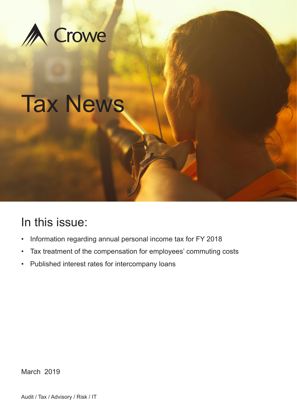

# Tax News

# In this issue:

- Information regarding annual personal income tax for FY 2018
- Tax treatment of the compensation for employees' commuting costs
- Published interest rates for intercompany loans

March 2019

Audit / Tax / Advisory / Risk / IT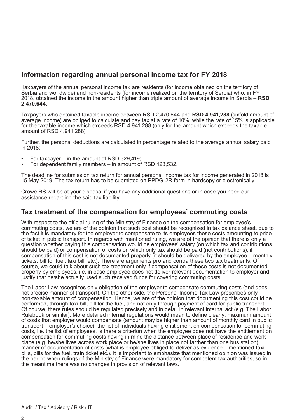## **Information regarding annual personal income tax for FY 2018**

Taxpayers of the annual personal income tax are residents (for income obtained on the territory of Serbia and worldwide) and non-residents (for income realized on the territory of Serbia) who, in FY 2018, obtained the income in the amount higher than triple amount of average income in Serbia – **RSD 2,470,644.**

Taxpayers who obtained taxable income between RSD 2,470,644 and **RSD 4,941,288** (sixfold amount of average income) are obliged to calculate and pay tax at a rate of 10%, while the rate of 15% is applicable for the taxable income which exceeds RSD 4,941,288 (only for the amount which exceeds the taxable amount of RSD 4,941,288).

Further, the personal deductions are calculated in percentage related to the average annual salary paid in 2018:

- For taxpayer in the amount of RSD 329,419;
- For dependent family members in amount of RSD 123,532.

The deadline for submission tax return for annual personal income tax for income generated in 2018 is 15 May 2019. The tax return has to be submitted on PPDG-2R form in hardcopy or electronically.

Crowe RS will be at your disposal if you have any additional questions or in case you need our assistance regarding the said tax liability.

## **Tax treatment of the compensation for employees' commuting costs**

With respect to the official ruling of the Ministry of Finance on the compensation for employee's commuting costs, we are of the opinion that such cost should be recognized in tax balance sheet, due to the fact it is mandatory for the employer to compensate to its employees these costs amounting to price of ticket in public transport. In regards with mentioned ruling, we are of the opinion that there is only a question whether paying this compensation would be employees' salary (on which tax and contributions should be paid) or compensation of costs on which only tax should be paid (not contributions), if compensation of this cost is not documented properly (it should be delivered by the employee – monthly tickets, bill for fuel, taxi bill, etc.). There are arguments pro and contra these two tax treatments. Of course, we could talk about such tax treatment only if compensation of these costs is not documented properly by employees, i.e. in case employee does not deliver relevant documentation to employer and justify that he/she actually used such received funds for covering commuting costs.

The Labor Law recognizes only obligation of the employer to compensate commuting costs (and does not precise manner of transport). On the other side, the Personal Income Tax Law prescribes only non-taxable amount of compensation. Hence, we are of the opinion that documenting this cost could be performed, through taxi bill, bill for the fuel, and not only through payment of card for public transport. Of course, there rules should be regulated precisely and in detail in relevant internal act (e.g. The Labor Rulebook or similar). More detailed internal regulations would mean to define clearly: maximum amount of costs that employer would compensate (amount may be higher than amount of monthly card in public transport – employer's choice), the list of individuals having entitlement on compensation for commuting costs, i.e. the list of employees, is there a criterion when the employee does not have the entitlement on compensation for commuting costs having in mind the distance between place of residence and work place (e.g. he/she lives across work place or he/she lives in place not farther than one bus station), manner of documentation of costs (what is employee obliged to deliver as evidence – mentioned taxi bills, bills for the fuel, train ticket etc.). It is important to emphasize that mentioned opinion was issued in the period when rulings of the Ministry of Finance were mandatory for competent tax authorities, so in the meantime there was no changes in provision of relevant laws.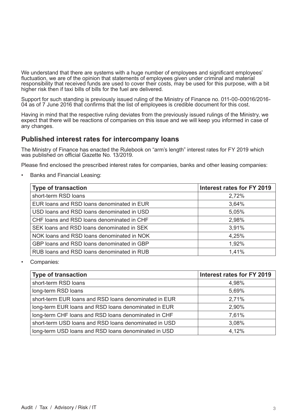We understand that there are systems with a huge number of employees and significant employees' fluctuation, we are of the opinion that statements of employees given under criminal and material responsibility that received funds are used to cover their costs, may be used for this purpose, with a bit higher risk then if taxi bills of bills for the fuel are delivered.

Support for such standing is previously issued ruling of the Ministry of Finance no. 011-00-00016/2016- 04 as of 7 June 2016 that confirms that the list of employees is credible document for this cost.

Having in mind that the respective ruling deviates from the previously issued rulings of the Ministry, we expect that there will be reactions of companies on this issue and we will keep you informed in case of any changes.

### **Published interest rates for intercompany loans**

The Ministry of Finance has enacted the Rulebook on "arm's length" interest rates for FY 2019 which was published on official Gazette No. 13/2019.

Please find enclosed the prescribed interest rates for companies, banks and other leasing companies:

• Banks and Financial Leasing:

| <b>Type of transaction</b>                 | Interest rates for FY 2019 |
|--------------------------------------------|----------------------------|
| short-term RSD loans                       | 2,72%                      |
| EUR loans and RSD loans denominated in EUR | 3,64%                      |
| USD loans and RSD loans denominated in USD | 5,05%                      |
| CHF loans and RSD loans denominated in CHF | 2,98%                      |
| SEK loans and RSD loans denominated in SEK | 3,91%                      |
| NOK loans and RSD loans denominated in NOK | 4,25%                      |
| GBP loans and RSD loans denominated in GBP | 1,92%                      |
| RUB loans and RSD loans denominated in RUB | 1,41%                      |

Companies:

| <b>Type of transaction</b>                            | Interest rates for FY 2019 |
|-------------------------------------------------------|----------------------------|
| short-term RSD loans                                  | 4,98%                      |
| long-term RSD loans                                   | 5,69%                      |
| short-term EUR loans and RSD loans denominated in EUR | 2,71%                      |
| long-term EUR loans and RSD loans denominated in EUR  | 2,90%                      |
| long-term CHF loans and RSD loans denominated in CHF  | 7,61%                      |
| short-term USD loans and RSD loans denominated in USD | 3,08%                      |
| long-term USD loans and RSD loans denominated in USD  | 4,12%                      |